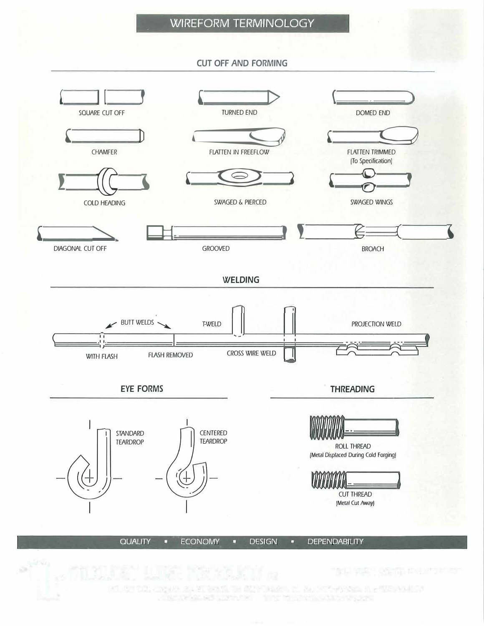## **WIREFORM TERMINOLOGY**

**CUT OFF AND FORMING** 



MIL 197 1971. JENNA LARKI RAMIL TA MINAMA JA KALIFINANYA MLAMIL ALAMI PAKAT FOR DESCRIPTION OF THE BUILDING OF STAR